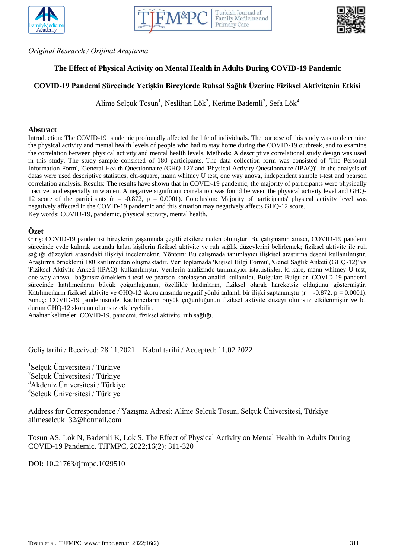





*Original Research / Orijinal Araştırma*

# **The Effect of Physical Activity on Mental Health in Adults During COVID-19 Pandemic**

# **COVID-19 Pandemi Sürecinde Yetişkin Bireylerde Ruhsal Sağlık Üzerine Fiziksel Aktivitenin Etkisi**

Alime Selçuk Tosun<sup>1</sup>, Neslihan Lök<sup>2</sup>, Kerime Bademli<sup>3</sup>, Sefa Lök<sup>4</sup>

#### **Abstract**

Introduction: The COVID-19 pandemic profoundly affected the life of individuals. The purpose of this study was to determine the physical activity and mental health levels of people who had to stay home during the COVID-19 outbreak, and to examine the correlation between physical activity and mental health levels. Methods: A descriptive correlational study design was used in this study. The study sample consisted of 180 participants. The data collection form was consisted of 'The Personal Information Form', 'General Health Questionnaire (GHQ-12)' and 'Physical Activity Questionnaire (IPAQ)'. In the analysis of datas were used descriptive statistics, chi-square, mann whitney U test, one way anova, independent sample t-test and pearson correlation analysis. Results: The results have shown that in COVID-19 pandemic, the majority of participants were physically inactive, and especially in women. A negative significant correlation was found between the physical activity level and GHQ-12 score of the participants ( $r = -0.872$ ,  $p = 0.0001$ ). Conclusion: Majority of participants' physical activity level was negatively affected in the COVID-19 pandemic and this situation may negatively affects GHQ-12 score. Key words: COVID-19, pandemic, physical activity, mental health.

## **Özet**

Giriş: COVID-19 pandemisi bireylerin yaşamında çeşitli etkilere neden olmuştur. Bu çalışmanın amacı, COVID-19 pandemi sürecinde evde kalmak zorunda kalan kişilerin fiziksel aktivite ve ruh sağlık düzeylerini belirlemek; fiziksel aktivite ile ruh sağlığı düzeyleri arasındaki ilişkiyi incelemektir. Yöntem: Bu çalışmada tanımlayıcı ilişkisel araştırma deseni kullanılmıştır. Araştırma örneklemi 180 katılımcıdan oluşmaktadır. Veri toplamada 'Kişisel Bilgi Formu', 'Genel Sağlık Anketi (GHQ-12)' ve 'Fiziksel Aktivite Anketi (IPAQ)' kullanılmıştır. Verilerin analizinde tanımlayıcı istattistikler, ki-kare, mann whitney U test, one way anova, bağımsız örneklem t-testi ve pearson korelasyon analizi kullanıldı. Bulgular: Bulgular, COVID-19 pandemi sürecinde katılımcıların büyük çoğunluğunun, özellikle kadınların, fiziksel olarak hareketsiz olduğunu göstermiştir. Katılımcıların fiziksel aktivite ve GHQ-12 skoru arasında negatif yönlü anlamlı bir ilişki saptanmıştır (r = -0.872, p = 0.0001). Sonuç: COVID-19 pandemisinde, katılımcıların büyük çoğunluğunun fiziksel aktivite düzeyi olumsuz etkilenmiştir ve bu durum GHQ-12 skorunu olumsuz etkileyebilir.

Anahtar kelimeler: COVID-19, pandemi, fiziksel aktivite, ruh sağlığı.

Geliş tarihi / Received: 28.11.2021 Kabul tarihi / Accepted: 11.02.2022

 Selçuk Üniversitesi / Türkiye Selçuk Üniversitesi / Türkiye Akdeniz Üniversitesi / Türkiye Selçuk Üniversitesi / Türkiye

Address for Correspondence / Yazışma Adresi: Alime Selçuk Tosun, Selçuk Üniversitesi, Türkiye alimeselcuk\_32@hotmail.com

Tosun AS, Lok N, Bademli K, Lok S. The Effect of Physical Activity on Mental Health in Adults During COVID-19 Pandemic. TJFMPC, 2022;16(2): 311-320

DOI: 10.21763/tjfmpc.1029510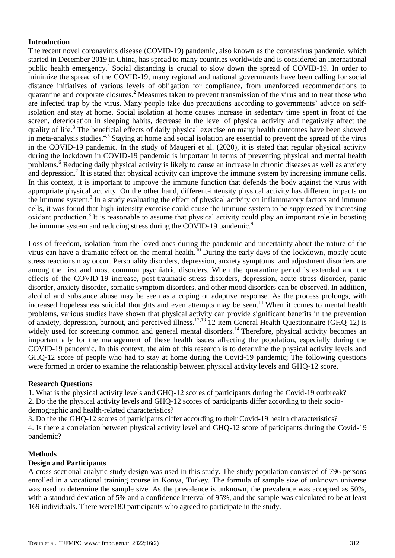# **Introduction**

The recent novel coronavirus disease (COVID-19) pandemic, also known as the coronavirus pandemic, which started in December 2019 in China, has spread to many countries worldwide and is considered an international public health emergency.<sup>1</sup> Social distancing is crucial to slow down the spread of COVID-19. In order to minimize the spread of the COVID-19, many regional and national governments have been calling for social distance initiatives of various levels of obligation for compliance, from unenforced recommendations to quarantine and corporate closures.<sup>2</sup> Measures taken to prevent transmission of the virus and to treat those who are infected trap by the virus. Many people take due precautions according to governments' advice on selfisolation and stay at home. Social isolation at home causes increase in sedentary time spent in front of the screen, deterioration in sleeping habits, decrease in the level of physical activity and negatively affect the quality of life.<sup>3</sup> The beneficial effects of daily physical exercise on many health outcomes have been showed in meta-analysis studies.<sup>4,5</sup> Staying at home and social isolation are essential to prevent the spread of the virus in the COVID-19 pandemic. In the study of Maugeri et al. (2020), it is stated that regular physical activity during the lockdown in COVID-19 pandemic is important in terms of preventing physical and mental health problems.<sup>6</sup> Reducing daily physical activity is likely to cause an increase in chronic diseases as well as anxiety and depression.<sup>7</sup> It is stated that physical activity can improve the immune system by increasing immune cells. In this context, it is important to improve the immune function that defends the body against the virus with appropriate physical activity. On the other hand, different-intensity physical activity has different impacts on the immune system.<sup>3</sup> In a study evaluating the effect of physical activity on inflammatory factors and immune cells, it was found that high-intensity exercise could cause the immune system to be suppressed by increasing oxidant production.<sup>8</sup> It is reasonable to assume that physical activity could play an important role in boosting the immune system and reducing stress during the COVID-19 pandemic.<sup>9</sup>

Loss of freedom, isolation from the loved ones during the pandemic and uncertainty about the nature of the virus can have a dramatic effect on the mental health.<sup>10</sup> During the early days of the lockdown, mostly acute stress reactions may occur. Personality disorders, depression, anxiety symptoms, and adjustment disorders are among the first and most common psychiatric disorders. When the quarantine period is extended and the effects of the COVID-19 increase, post-traumatic stress disorders, depression, acute stress disorder, panic disorder, anxiety disorder, somatic symptom disorders, and other mood disorders can be observed. In addition, alcohol and substance abuse may be seen as a coping or adaptive response. As the process prolongs, with increased hopelessness suicidal thoughts and even attempts may be seen.<sup>11</sup> When it comes to mental health problems, various studies have shown that physical activity can provide significant benefits in the prevention of anxiety, depression, burnout, and perceived illness.12,13 12-item General Health Questionnaire (GHQ-12) is widely used for screening common and general mental disorders.<sup>14</sup> Therefore, physical activity becomes an important ally for the management of these health issues affecting the population, especially during the COVID-19 pandemic. In this context, the aim of this research is to determine the physical activity levels and GHQ-12 score of people who had to stay at home during the Covid-19 pandemic; The following questions were formed in order to examine the relationship between physical activity levels and GHQ-12 score.

# **Research Questions**

1. What is the physical activity levels and GHQ-12 scores of participants during the Covid-19 outbreak? 2. Do the the physical activity levels and GHQ-12 scores of participants differ according to their sociodemographic and health-related characteristics?

3. Do the the GHQ-12 scores of participants differ according to their Covid-19 health characteristics? 4. Is there a correlation between physical activity level and GHQ-12 score of paticipants during the Covid-19 pandemic?

# **Methods**

# **Design and Participants**

A cross-sectional analytic study design was used in this study. The study population consisted of 796 persons enrolled in a vocational training course in Konya, Turkey. The formula of sample size of unknown universe was used to determine the sample size. As the prevalence is unknown, the prevalence was accepted as 50%, with a standard deviation of 5% and a confidence interval of 95%, and the sample was calculated to be at least 169 individuals. There were180 participants who agreed to participate in the study.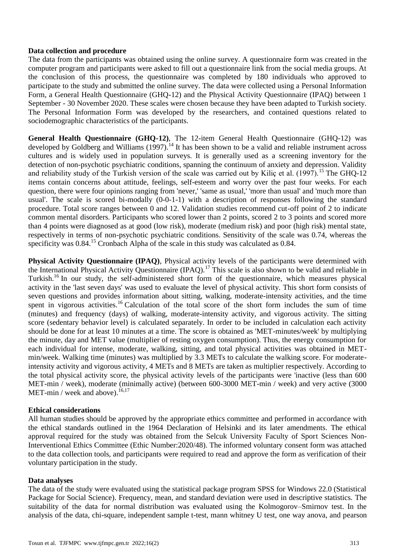## **Data collection and procedure**

The data from the participants was obtained using the online survey. A questionnaire form was created in the computer program and participants were asked to fill out a questionnaire link from the social media groups. At the conclusion of this process, the questionnaire was completed by 180 individuals who approved to participate to the study and submitted the online survey. The data were collected using a Personal Information Form, a General Health Questionnaire (GHQ-12) and the Physical Activity Questionnaire (IPAQ) between 1 September - 30 November 2020. These scales were chosen because they have been adapted to Turkish society. The Personal Information Form was developed by the researchers, and contained questions related to sociodemographic characteristics of the participants.

**General Health Questionnaire (GHQ-12)**, The 12-item General Health Questionnaire (GHQ-12) was developed by Goldberg and Williams (1997).<sup>14</sup> It has been shown to be a valid and reliable instrument across cultures and is widely used in population surveys. It is generally used as a screening inventory for the detection of non-psychotic psychiatric conditions, spanning the continuum of anxiety and depression. Validity and reliability study of the Turkish version of the scale was carried out by Kiliç et al. (1997).<sup>15</sup> The GHQ-12 items contain concerns about attitude, feelings, self-esteem and worry over the past four weeks. For each question, there were four opinions ranging from 'never,' 'same as usual,' 'more than usual' and 'much more than usual'. The scale is scored bi-modally (0-0-1-1) with a description of responses following the standard procedure. Total score ranges between 0 and 12. Validation studies recommend cut-off point of 2 to indicate common mental disorders. Participants who scored lower than 2 points, scored 2 to 3 points and scored more than 4 points were diagnosed as at good (low risk), moderate (medium risk) and poor (high risk) mental state, respectively in terms of non-psychotic psychiatric conditions. Sensitivity of the scale was 0.74, whereas the specificity was  $0.84<sup>15</sup>$  Cronbach Alpha of the scale in this study was calculated as  $0.84$ .

**Physical Activity Questionnaire (IPAQ)**, Physical activity levels of the participants were determined with the International Physical Activity Questionnaire (IPAQ).<sup>17</sup> This scale is also shown to be valid and reliable in Turkish.<sup>16</sup> In our study, the self-administered short form of the questionnaire, which measures physical activity in the 'last seven days' was used to evaluate the level of physical activity. This short form consists of seven questions and provides information about sitting, walking, moderate-intensity activities, and the time spent in vigorous activities.<sup>16</sup> Calculation of the total score of the short form includes the sum of time (minutes) and frequency (days) of walking, moderate-intensity activity, and vigorous activity. The sitting score (sedentary behavior level) is calculated separately. In order to be included in calculation each activity should be done for at least 10 minutes at a time. The score is obtained as 'MET-minutes/week' by multiplying the minute, day and MET value (multiplier of resting oxygen consumption). Thus, the energy consumption for each individual for intense, moderate, walking, sitting, and total physical activities was obtained in METmin/week. Walking time (minutes) was multiplied by 3.3 METs to calculate the walking score. For moderateintensity activity and vigorous activity, 4 METs and 8 METs are taken as multiplier respectively. According to the total physical activity score, the physical activity levels of the participants were 'inactive (less than 600 MET-min / week), moderate (minimally active) (between 600-3000 MET-min / week) and very active (3000 MET-min / week and above). $16,17$ 

# **Ethical considerations**

All human studies should be approved by the appropriate ethics committee and performed in accordance with the ethical standards outlined in the 1964 Declaration of Helsinki and its later amendments. The ethical approval required for the study was obtained from the Selcuk University Faculty of Sport Sciences Non-Interventional Ethics Committee (Ethic Number:2020/48). The informed voluntary consent form was attached to the data collection tools, and participants were required to read and approve the form as verification of their voluntary participation in the study.

#### **Data analyses**

The data of the study were evaluated using the statistical package program SPSS for Windows 22.0 (Statistical Package for Social Science). Frequency, mean, and standard deviation were used in descriptive statistics. The suitability of the data for normal distribution was evaluated using the Kolmogorov–Smirnov test. In the analysis of the data, chi-square, independent sample t-test, mann whitney U test, one way anova, and pearson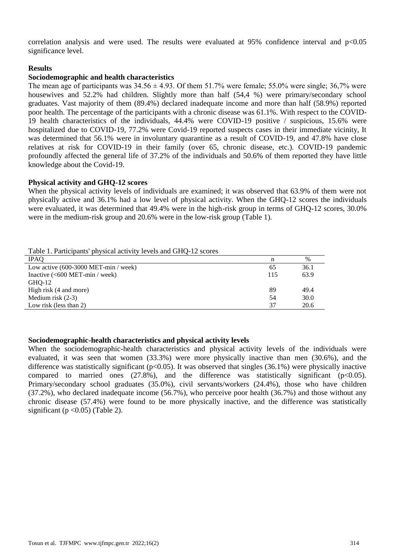correlation analysis and were used. The results were evaluated at 95% confidence interval and  $p<0.05$ significance level.

## **Results**

## **Sociodemographic and health characteristics**

The mean age of participants was  $34.56 \pm 4.93$ . Of them 51.7% were female; 55.0% were single; 36,7% were housewives and 52.2% had children. Slightly more than half (54.4 %) were primary/secondary school graduates. Vast majority of them (89.4%) declared inadequate income and more than half (58.9%) reported poor health. The percentage of the participants with a chronic disease was 61.1%. With respect to the COVID-19 health characteristics of the individuals, 44.4% were COVID-19 positive / suspicious, 15.6% were hospitalized due to COVID-19, 77.2% were Covid-19 reported suspects cases in their immediate vicinity, It was determined that 56.1% were in involuntary quarantine as a result of COVID-19, and 47.8% have close relatives at risk for COVID-19 in their family (over 65, chronic disease, etc.). COVID-19 pandemic profoundly affected the general life of 37.2% of the individuals and 50.6% of them reported they have little knowledge about the Covid-19.

#### **Physical activity and GHQ-12 scores**

When the physical activity levels of individuals are examined; it was observed that 63.9% of them were not physically active and 36.1% had a low level of physical activity. When the GHQ-12 scores the individuals were evaluated, it was determined that 49.4% were in the high-risk group in terms of GHQ-12 scores, 30.0% were in the medium-risk group and 20.6% were in the low-risk group (Table 1).

| Table 1. Participants' physical activity levels and GHQ-12 scores |     |      |
|-------------------------------------------------------------------|-----|------|
| <b>IPAO</b>                                                       | n   | $\%$ |
| Low active $(600-3000 \text{ MET-min } / \text{ week})$           | 65  | 36.1 |
| Inactive $(600 \text{ MET-min} / \text{week})$                    | 115 | 63.9 |
| GHO-12                                                            |     |      |
| High risk (4 and more)                                            | 89  | 49.4 |
| Medium risk $(2-3)$                                               | 54  | 30.0 |
| Low risk (less than 2)                                            | 37  | 20.6 |

#### **Sociodemographic-health characteristics and physical activity levels**

When the sociodemographic-health characteristics and physical activity levels of the individuals were evaluated, it was seen that women (33.3%) were more physically inactive than men (30.6%), and the difference was statistically significant ( $p<0.05$ ). It was observed that singles (36.1%) were physically inactive compared to married ones  $(27.8\%)$ , and the difference was statistically significant (p<0.05). Primary/secondary school graduates (35.0%), civil servants/workers (24.4%), those who have children (37.2%), who declared inadequate income (56.7%), who perceive poor health (36.7%) and those without any chronic disease (57.4%) were found to be more physically inactive, and the difference was statistically significant ( $p < 0.05$ ) (Table 2).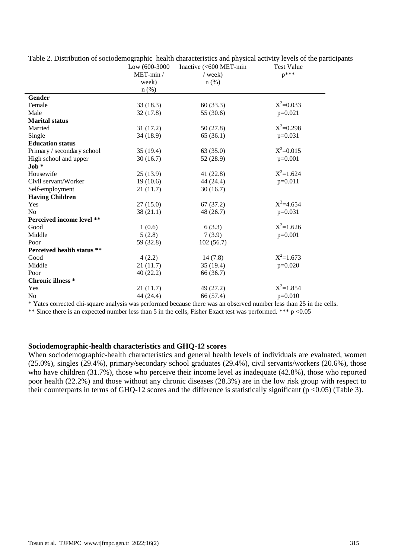|                                                                                                                 | Low (600-3000 | Inactive (<600 MET-min | <b>Test Value</b> |  |
|-----------------------------------------------------------------------------------------------------------------|---------------|------------------------|-------------------|--|
|                                                                                                                 | $MET-min /$   | $/$ week)              | $p^{***}$         |  |
|                                                                                                                 | week)         | $n$ (%)                |                   |  |
|                                                                                                                 | $n$ (%)       |                        |                   |  |
| Gender                                                                                                          |               |                        |                   |  |
| Female                                                                                                          | 33(18.3)      | 60(33.3)               | $X^2 = 0.033$     |  |
| Male                                                                                                            | 32 (17.8)     | 55 (30.6)              | $p=0.021$         |  |
| <b>Marital status</b>                                                                                           |               |                        |                   |  |
| Married                                                                                                         | 31(17.2)      | 50(27.8)               | $X^2=0.298$       |  |
| Single                                                                                                          | 34 (18.9)     | 65 (36.1)              | $p=0.031$         |  |
| <b>Education status</b>                                                                                         |               |                        |                   |  |
| Primary / secondary school                                                                                      | 35(19.4)      | 63(35.0)               | $X^2 = 0.015$     |  |
| High school and upper                                                                                           | 30(16.7)      | 52 (28.9)              | $p=0.001$         |  |
| Job *                                                                                                           |               |                        |                   |  |
| Housewife                                                                                                       | 25(13.9)      | 41(22.8)               | $X^2=1.624$       |  |
| Civil servant/Worker                                                                                            | 19(10.6)      | 44 (24.4)              | $p=0.011$         |  |
| Self-employment                                                                                                 | 21 (11.7)     | 30(16.7)               |                   |  |
| <b>Having Children</b>                                                                                          |               |                        |                   |  |
| Yes                                                                                                             | 27(15.0)      | 67(37.2)               | $X^2 = 4.654$     |  |
| N <sub>o</sub>                                                                                                  | 38(21.1)      | 48 (26.7)              | $p=0.031$         |  |
| Perceived income level **                                                                                       |               |                        |                   |  |
| Good                                                                                                            | 1(0.6)        | 6(3.3)                 | $X^2=1.626$       |  |
| Middle                                                                                                          | 5(2.8)        | 7(3.9)                 | $p=0.001$         |  |
| Poor                                                                                                            | 59 (32.8)     | 102(56.7)              |                   |  |
| Perceived health status **                                                                                      |               |                        |                   |  |
| Good                                                                                                            | 4(2.2)        | 14(7.8)                | $X^2=1.673$       |  |
| Middle                                                                                                          | 21(11.7)      | 35(19.4)               | $p=0.020$         |  |
| Poor                                                                                                            | 40(22.2)      | 66 (36.7)              |                   |  |
| <b>Chronic illness</b> *                                                                                        |               |                        |                   |  |
| Yes                                                                                                             | 21(11.7)      | 49 (27.2)              | $X^2=1.854$       |  |
| N <sub>0</sub>                                                                                                  | 44 (24.4)     | 66 (57.4)              | $p=0.010$         |  |
| * Veter compated ali cause englypic was performed because them was an observed number lass than 25 in the calle |               |                        |                   |  |

Table 2. Distribution of sociodemographic health characteristics and physical activity levels of the participants

Yates corrected chi-square analysis was performed because there was an observed number less than 25 in the cells.

\*\* Since there is an expected number less than 5 in the cells, Fisher Exact test was performed. \*\*\* p <0.05

## **Sociodemographic-health characteristics and GHQ-12 scores**

When sociodemographic-health characteristics and general health levels of individuals are evaluated, women (25.0%), singles (29.4%), primary/secondary school graduates (29.4%), civil servants/workers (20.6%), those who have children (31.7%), those who perceive their income level as inadequate (42.8%), those who reported poor health (22.2%) and those without any chronic diseases (28.3%) are in the low risk group with respect to their counterparts in terms of GHQ-12 scores and the difference is statistically significant ( $p < 0.05$ ) (Table 3).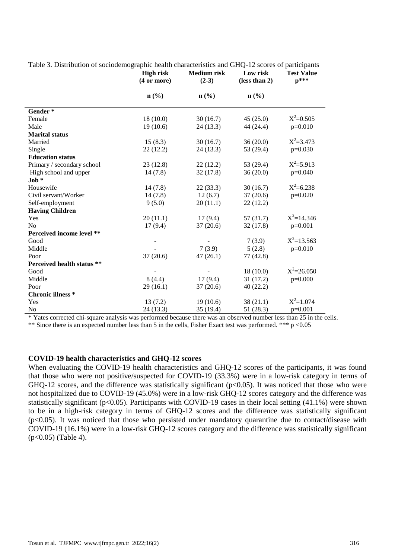|                            | <b>High risk</b> | <b>Medium</b> risk          | Low risk                    | <b>Test Value</b> |
|----------------------------|------------------|-----------------------------|-----------------------------|-------------------|
|                            | (4 or more)      | $(2-3)$                     | (less than 2)               | $p***$            |
|                            |                  | $n\left(\frac{0}{0}\right)$ | $n\left(\frac{0}{0}\right)$ |                   |
|                            | n(%)             |                             |                             |                   |
| Gender*                    |                  |                             |                             |                   |
| Female                     | 18(10.0)         | 30(16.7)                    | 45(25.0)                    | $X^2=0.505$       |
| Male                       | 19(10.6)         | 24(13.3)                    | 44 (24.4)                   | $p=0.010$         |
| <b>Marital status</b>      |                  |                             |                             |                   |
| Married                    | 15(8.3)          | 30(16.7)                    | 36(20.0)                    | $X^2 = 3.473$     |
| Single                     | 22(12.2)         | 24(13.3)                    | 53 (29.4)                   | $p=0.030$         |
| <b>Education status</b>    |                  |                             |                             |                   |
| Primary / secondary school | 23(12.8)         | 22(12.2)                    | 53 (29.4)                   | $X^2 = 5.913$     |
| High school and upper      | 14(7.8)          | 32(17.8)                    | 36(20.0)                    | $p=0.040$         |
| $\textbf{Job} \ast$        |                  |                             |                             |                   |
| Housewife                  | 14(7.8)          | 22(33.3)                    | 30(16.7)                    | $X^2 = 6.238$     |
| Civil servant/Worker       | 14(7.8)          | 12(6.7)                     | 37(20.6)                    | $p=0.020$         |
| Self-employment            | 9(5.0)           | 20(11.1)                    | 22(12.2)                    |                   |
| <b>Having Children</b>     |                  |                             |                             |                   |
| Yes                        | 20(11.1)         | 17(9.4)                     | 57(31.7)                    | $X^2 = 14.346$    |
| N <sub>o</sub>             | 17(9.4)          | 37(20.6)                    | 32(17.8)                    | $p=0.001$         |
| Perceived income level **  |                  |                             |                             |                   |
| Good                       |                  |                             | 7(3.9)                      | $X^2=13.563$      |
| Middle                     |                  | 7(3.9)                      | 5(2.8)                      | $p=0.010$         |
| Poor                       | 37(20.6)         | 47(26.1)                    | 77(42.8)                    |                   |
| Perceived health status ** |                  |                             |                             |                   |
| Good                       |                  |                             | 18(10.0)                    | $X^2 = 26.050$    |
| Middle                     | 8(4.4)           | 17(9.4)                     | 31(17.2)                    | $p=0.000$         |
| Poor                       | 29(16.1)         | 37(20.6)                    | 40(22.2)                    |                   |
| <b>Chronic illness</b> *   |                  |                             |                             |                   |
| Yes                        | 13(7.2)          | 19(10.6)                    | 38(21.1)                    | $X^2=1.074$       |
| N <sub>o</sub>             | 24 (13.3)        | 35 (19.4)                   | 51(28.3)                    | $p=0.001$         |

Table 3. Distribution of sociodemographic health characteristics and GHQ-12 scores of participants

\* Yates corrected chi-square analysis was performed because there was an observed number less than 25 in the cells.

\*\* Since there is an expected number less than 5 in the cells, Fisher Exact test was performed. \*\*\* p <0.05

#### **COVID-19 health characteristics and GHQ-12 scores**

When evaluating the COVID-19 health characteristics and GHQ-12 scores of the participants, it was found that those who were not positive/suspected for COVID-19 (33.3%) were in a low-risk category in terms of GHQ-12 scores, and the difference was statistically significant  $(p<0.05)$ . It was noticed that those who were not hospitalized due to COVID-19 (45.0%) were in a low-risk GHQ-12 scores category and the difference was statistically significant ( $p<0.05$ ). Participants with COVID-19 cases in their local setting (41.1%) were shown to be in a high-risk category in terms of GHQ-12 scores and the difference was statistically significant  $(p<0.05)$ . It was noticed that those who persisted under mandatory quarantine due to contact/disease with COVID-19 (16.1%) were in a low-risk GHQ-12 scores category and the difference was statistically significant  $(p<0.05)$  (Table 4).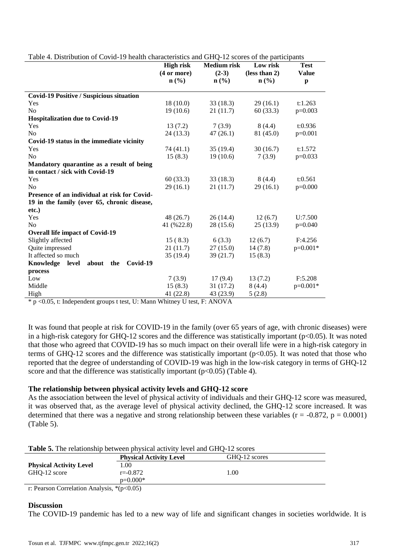|                                                 | <b>High risk</b> | <b>Medium risk</b> | Low risk                    | <b>Test</b>  |
|-------------------------------------------------|------------------|--------------------|-----------------------------|--------------|
|                                                 | (4 or more)      | $(2-3)$            | (less than 2)               | <b>Value</b> |
|                                                 | $n$ (%)          | n (% )             | $n\left(\frac{0}{0}\right)$ | p            |
| <b>Covid-19 Positive / Suspicious situation</b> |                  |                    |                             |              |
| Yes                                             | 18(10.0)         | 33(18.3)           | 29(16.1)                    | t:1.263      |
| N <sub>0</sub>                                  | 19(10.6)         | 21(11.7)           | 60(33.3)                    | $p=0.003$    |
| <b>Hospitalization due to Covid-19</b>          |                  |                    |                             |              |
| Yes                                             | 13(7.2)          | 7(3.9)             | 8(4.4)                      | t:0.936      |
| N <sub>o</sub>                                  | 24 (13.3)        | 47(26.1)           | 81 (45.0)                   | $p=0.001$    |
| Covid-19 status in the immediate vicinity       |                  |                    |                             |              |
| Yes                                             | 74 (41.1)        | 35(19.4)           | 30(16.7)                    | t:1.572      |
| N <sub>o</sub>                                  | 15(8.3)          | 19(10.6)           | 7(3.9)                      | $p=0.033$    |
| Mandatory quarantine as a result of being       |                  |                    |                             |              |
| in contact / sick with Covid-19                 |                  |                    |                             |              |
| Yes                                             | 60(33.3)         | 33(18.3)           | 8(4.4)                      | t:0.561      |
| N <sub>0</sub>                                  | 29(16.1)         | 21 (11.7)          | 29(16.1)                    | $p=0.000$    |
| Presence of an individual at risk for Covid-    |                  |                    |                             |              |
| 19 in the family (over 65, chronic disease,     |                  |                    |                             |              |
| etc.)                                           |                  |                    |                             |              |
| Yes                                             | 48 (26.7)        | 26 (14.4)          | 12(6.7)                     | U:7.500      |
| N <sub>0</sub>                                  | 41 (%22.8)       | 28 (15.6)          | 25(13.9)                    | $p=0.040$    |
| <b>Overall life impact of Covid-19</b>          |                  |                    |                             |              |
| Slightly affected                               | 15(8.3)          | 6(3.3)             | 12(6.7)                     | F:4.256      |
| Quite impressed                                 | 21(11.7)         | 27(15.0)           | 14(7.8)                     | $p=0.001*$   |
| It affected so much                             | 35 (19.4)        | 39 (21.7)          | 15(8.3)                     |              |
| Knowledge<br>Covid-19<br>level<br>about<br>the  |                  |                    |                             |              |
| process                                         |                  |                    |                             |              |
| Low                                             | 7(3.9)           | 17(9.4)            | 13(7.2)                     | F:5.208      |
| Middle                                          | 15(8.3)          | 31 (17.2)          | 8(4.4)                      | $p=0.001*$   |
| High                                            | 41 (22.8)        | 43 (23.9)          | 5(2.8)                      |              |

Table 4. Distribution of Covid-19 health characteristics and GHQ-12 scores of the participants

\* p <0.05, t: Independent groups t test, U: Mann Whitney U test, F: ANOVA

It was found that people at risk for COVID-19 in the family (over 65 years of age, with chronic diseases) were in a high-risk category for GHQ-12 scores and the difference was statistically important ( $p<0.05$ ). It was noted that those who agreed that COVID-19 has so much impact on their overall life were in a high-risk category in terms of GHQ-12 scores and the difference was statistically important ( $p<0.05$ ). It was noted that those who reported that the degree of understanding of COVID-19 was high in the low-risk category in terms of GHQ-12 score and that the difference was statistically important  $(p<0.05)$  (Table 4).

#### **The relationship between physical activity levels and GHQ-12 score**

As the association between the level of physical activity of individuals and their GHQ-12 score was measured, it was observed that, as the average level of physical activity declined, the GHQ-12 score increased. It was determined that there was a negative and strong relationship between these variables ( $r = -0.872$ ,  $p = 0.0001$ ) (Table 5).

| <b>Table 5.</b> The relationship between physical activity level and GHQ-12 scores |               |
|------------------------------------------------------------------------------------|---------------|
| <b>Physical Activity Level</b>                                                     | GHQ-12 scores |

|                                              | Physical Activity Level | GHU-12 scores |  |
|----------------------------------------------|-------------------------|---------------|--|
| <b>Physical Activity Level</b>               | .00                     |               |  |
| GHO-12 score                                 | $r = -0.872$            | 00.1          |  |
|                                              | $p=0.000*$              |               |  |
| r: Pearson Correlation Analysis, $*(p<0.05)$ |                         |               |  |

#### **Discussion**

The COVID-19 pandemic has led to a new way of life and significant changes in societies worldwide. It is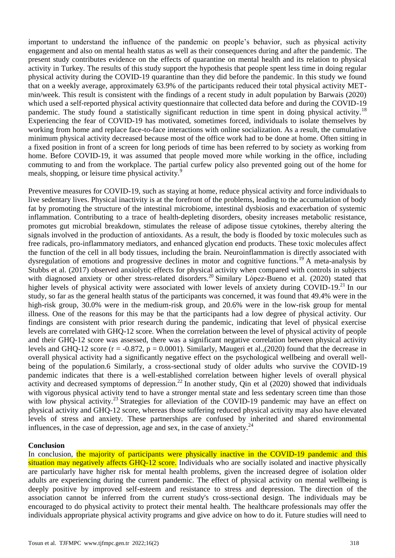important to understand the influence of the pandemic on people's behavior, such as physical activity engagement and also on mental health status as well as their consequences during and after the pandemic. The present study contributes evidence on the effects of quarantine on mental health and its relation to physical activity in Turkey. The results of this study support the hypothesis that people spent less time in doing regular physical activity during the COVID-19 quarantine than they did before the pandemic. In this study we found that on a weekly average, approximately 63.9% of the participants reduced their total physical activity METmin/week. This result is consistent with the findings of a recent study in adult population by Barwais (2020) which used a self-reported physical activity questionnaire that collected data before and during the COVID-19 pandemic. The study found a statistically significant reduction in time spent in doing physical activity.<sup>18</sup> Experiencing the fear of COVID-19 has motivated, sometimes forced, individuals to isolate themselves by working from home and replace face-to-face interactions with online socialization. As a result, the cumulative minimum physical activity decreased because most of the office work had to be done at home. Often sitting in a fixed position in front of a screen for long periods of time has been referred to by society as working from home. Before COVID-19, it was assumed that people moved more while working in the office, including commuting to and from the workplace. The partial curfew policy also prevented going out of the home for meals, shopping, or leisure time physical activity.<sup>9</sup>

Preventive measures for COVID-19, such as staying at home, reduce physical activity and force individuals to live sedentary lives. Physical inactivity is at the forefront of the problems, leading to the accumulation of body fat by promoting the structure of the intestinal microbiome, intestinal dysbiosis and exacerbation of systemic inflammation. Contributing to a trace of health-depleting disorders, obesity increases metabolic resistance, promotes gut microbial breakdown, stimulates the release of adipose tissue cytokines, thereby altering the signals involved in the production of antioxidants. As a result, the body is flooded by toxic molecules such as free radicals, pro-inflammatory mediators, and enhanced glycation end products. These toxic molecules affect the function of the cell in all body tissues, including the brain. Neuroinflammation is directly associated with dysregulation of emotions and progressive declines in motor and cognitive functions.<sup>19</sup> A meta-analysis by Stubbs et al. (2017) observed anxiolytic effects for physical activity when compared with controls in subjects with diagnosed anxiety or other stress-related disorders.<sup>20</sup> Similary López-Bueno et al. (2020) stated that higher levels of physical activity were associated with lower levels of anxiety during COVID-19.<sup>21</sup> In our study, so far as the general health status of the participants was concerned, it was found that 49.4% were in the high-risk group, 30.0% were in the medium-risk group, and 20.6% were in the low-risk group for mental illness. One of the reasons for this may be that the participants had a low degree of physical activity. Our findings are consistent with prior research during the pandemic, indicating that level of physical exercise levels are correlated with GHQ-12 score. When the correlation between the level of physical activity of people and their GHQ-12 score was assessed, there was a significant negative correlation between physical activity levels and GHQ-12 score ( $r = -0.872$ ,  $p = 0.0001$ ). Similarly, Maugeri et al.,(2020) found that the decrease in overall physical activity had a significantly negative effect on the psychological wellbeing and overall wellbeing of the population.6 Similarly, a cross-sectional study of older adults who survive the COVID-19 pandemic indicates that there is a well-established correlation between higher levels of overall physical activity and decreased symptoms of depression.<sup>22</sup> In another study, Qin et al  $(2020)$  showed that individuals with vigorous physical activity tend to have a stronger mental state and less sedentary screen time than those with low physical activity.<sup>23</sup> Strategies for alleviation of the COVID-19 pandemic may have an effect on physical activity and GHQ-12 score, whereas those suffering reduced physical activity may also have elevated levels of stress and anxiety. These partnerships are confused by inherited and shared environmental influences, in the case of depression, age and sex, in the case of anxiety. $24$ 

#### **Conclusion**

In conclusion, the majority of participants were physically inactive in the COVID-19 pandemic and this situation may negatively affects GHO-12 score. Individuals who are socially isolated and inactive physically are particularly have higher risk for mental health problems, given the increased degree of isolation older adults are experiencing during the current pandemic. The effect of physical activity on mental wellbeing is deeply positive by improved self-esteem and resistance to stress and depression. The direction of the association cannot be inferred from the current study's cross-sectional design. The individuals may be encouraged to do physical activity to protect their mental health. The healthcare professionals may offer the individuals appropriate physical activity programs and give advice on how to do it. Future studies will need to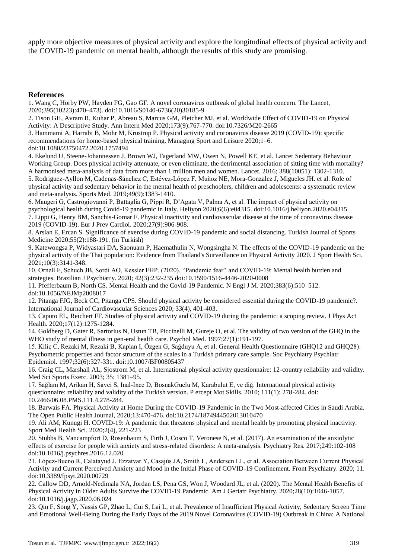apply more objective measures of physical activity and explore the longitudinal effects of physical activity and the COVID-19 pandemic on mental health, although the results of this study are promising.

#### **References**

1. Wang C, Horby PW, Hayden FG, Gao GF. A novel coronavirus outbreak of global health concern. The Lancet, 2020;395(10223):470–473). doi:10.1016/S0140-6736(20)30185-9

2. Tison GH, Avram R, Kuhar P, Abreau S, Marcus GM, Pletcher MJ, et al. Worldwide Effect of COVID-19 on Physical Activity: A Descriptive Study. Ann Intern Med 2020;173(9):767-770. doi:10.7326/M20-2665

3. Hammami A, Harrabi B, Mohr M, Krustrup P. Physical activity and coronavirus disease 2019 (COVID-19): specific recommendations for home-based physical training. Managing Sport and Leisure 2020;1–6.

doi:10.1080/23750472.2020.1757494

4. Ekelund U, Steene-Johannessen J, Brown WJ, Fagerland MW, Owen N, Powell KE, et al. Lancet Sedentary Behaviour Working Group. Does physical activity attenuate, or even eliminate, the detrimental association of sitting time with mortality? A harmonised meta-analysis of data from more than 1 million men and women. Lancet. 2016; 388(10051): 1302-1310.

5. Rodriguez-Ayllon M, Cadenas-Sánchez C, Estévez-López F, Muñoz NE, Mora-Gonzalez J, Migueles JH. et al. Role of physical activity and sedentary behavior in the mental health of preschoolers, children and adolescents: a systematic review and meta-analysis. Sports Med. 2019;49(9):1383-1410.

6. Maugeri G, Castrogiovanni P, Battaglia G, Pippi R, D'Agata V, Palma A, et al. The impact of physical activity on psychological health during Covid-19 pandemic in Italy. Heliyon 2020;6(6):e04315. doi:10.1016/j.heliyon.2020.e04315 7. Lippi G, Henry BM, Sanchis-Gomar F. Physical inactivity and cardiovascular disease at the time of coronavirus disease 2019 (COVID-19). Eur J Prev Cardiol. 2020;27(9):906-908.

8. Arslan E, Ercan S. Significance of exercise during COVID-19 pandemic and social distancing. Turkish Journal of Sports Medicine 2020;55(2):188-191. (in Turkish)

9. Katewongsa P, Widyastari DA, Saonuam P, Haemathulin N, Wongsingha N. The effects of the COVID-19 pandemic on the physical activity of the Thai population: Evidence from Thailand's Surveillance on Physical Activity 2020. J Sport Health Sci. 2021;10(3):3141-348.

10. Ornell F, Schuch JB, Sordi AO, Kessler FHP. (2020). ''Pandemic fear'' and COVID-19: Mental health burden and strategies. Brazilian J Psychiatry. 2020; 42(3):232-235 doi:10.1590/1516-4446-2020-0008

11. Pfefferbaum B, North CS. Mental Health and the Covid-19 Pandemic. N Engl J M. 2020;383(6):510–512. doi:10.1056/NEJMp2008017

12. Pitanga FJG, Beck CC, Pitanga CPS. Should physical activity be considered essential during the COVID-19 pandemic?. International Journal of Cardiovascular Sciences 2020; 33(4), 401-403.

13. Caputo EL, Reichert FF. Studies of physical activity and COVID-19 during the pandemic: a scoping review. J Phys Act Health. 2020;17(12):1275-1284.

14. Goldberg D, Gater R, Sartorius N, Ustun TB, Piccinelli M, Gureje O, et al. The validity of two version of the GHQ in the WHO study of mental illness in gen-eral health care. Psychol Med. 1997;27(1):191-197.

15. Kiliç C, Rezaki M, Rezaki B, Kaplan I, Özgen G, Saǧduyu A, et al. General Health Questionnaire (GHQ12 and GHQ28): Psychometric properties and factor structure of the scales in a Turkish primary care sample. Soc Psychiatry Psychiatr Epidemiol. 1997;32(6):327-331. doi:10.1007/BF00805437

16. Craig CL, Marshall AL, Sjostrom M, et al. International physical activity questionnaire: 12-country reliability and validity. Med Sci Sports Exerc. 2003; 35: 1381–95.

17. Sağlam M, Arikan H, Savci S, Inal-Ince D, BosnakGuclu M, Karabulut E, ve diğ. International physical activity questionnaire: reliability and validity of the Turkish version. P ercept Mot Skills. 2010; 111(1): 278-284. doi: 10.2466/06.08.PMS.111.4.278-284.

18. Barwais FA. Physical Activity at Home During the COVID-19 Pandemic in the Two Most-affected Cities in Saudi Arabia. The Open Public Health Journal, 2020;13:470-476. doi:10.2174/1874944502013010470

19. Ali AM, Kunugi H. COVID-19: A pandemic that threatens physical and mental health by promoting physical inactivity. Sport Med Health Sci. 2020;2(4), 221-223

20. Stubbs B, Vancampfort D, Rosenbaum S, Firth J, Cosco T, Veronese N, et al. (2017). An examination of the anxiolytic effects of exercise for people with anxiety and stress-related disorders: A meta-analysis. Psychiatry Res. 2017;249:102-108 doi:10.1016/j.psychres.2016.12.020

21. López-Bueno R, Calatayud J, Ezzatvar Y, Casajús JA, Smith L, Andersen LL, et al. Association Between Current Physical Activity and Current Perceived Anxiety and Mood in the Initial Phase of COVID-19 Confinement. Front Psychiatry. 2020; 11. doi:10.3389/fpsyt.2020.00729

22. Callow DD, Arnold-Nedimala NA, Jordan LS, Pena GS, Won J, Woodard JL, et al. (2020). The Mental Health Benefits of Physical Activity in Older Adults Survive the COVID-19 Pandemic. Am J Geriatr Psychiatry. 2020;28(10):1046-1057. doi:10.1016/j.jagp.2020.06.024

23. Qin F, Song Y, Nassis GP, Zhao L, Cui S, Lai L, et al. Prevalence of Insufficient Physical Activity, Sedentary Screen Time and Emotional Well-Being During the Early Days of the 2019 Novel Coronavirus (COVID-19) Outbreak in China: A National